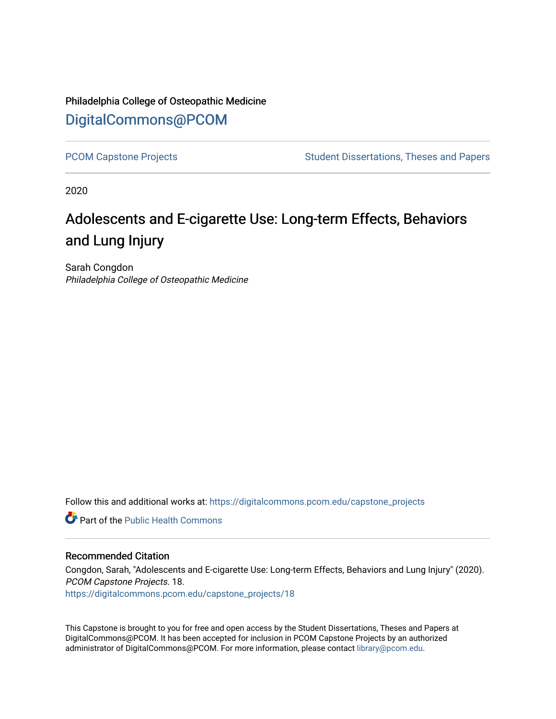Philadelphia College of Osteopathic Medicine [DigitalCommons@PCOM](https://digitalcommons.pcom.edu/) 

[PCOM Capstone Projects](https://digitalcommons.pcom.edu/capstone_projects) **Student Dissertations, Theses and Papers** Student Dissertations, Theses and Papers

2020

# Adolescents and E-cigarette Use: Long-term Effects, Behaviors and Lung Injury

Sarah Congdon Philadelphia College of Osteopathic Medicine

Follow this and additional works at: [https://digitalcommons.pcom.edu/capstone\\_projects](https://digitalcommons.pcom.edu/capstone_projects?utm_source=digitalcommons.pcom.edu%2Fcapstone_projects%2F18&utm_medium=PDF&utm_campaign=PDFCoverPages)

**C** Part of the Public Health Commons

## Recommended Citation

Congdon, Sarah, "Adolescents and E-cigarette Use: Long-term Effects, Behaviors and Lung Injury" (2020). PCOM Capstone Projects. 18. [https://digitalcommons.pcom.edu/capstone\\_projects/18](https://digitalcommons.pcom.edu/capstone_projects/18?utm_source=digitalcommons.pcom.edu%2Fcapstone_projects%2F18&utm_medium=PDF&utm_campaign=PDFCoverPages) 

This Capstone is brought to you for free and open access by the Student Dissertations, Theses and Papers at DigitalCommons@PCOM. It has been accepted for inclusion in PCOM Capstone Projects by an authorized administrator of DigitalCommons@PCOM. For more information, please contact [library@pcom.edu.](mailto:library@pcom.edu)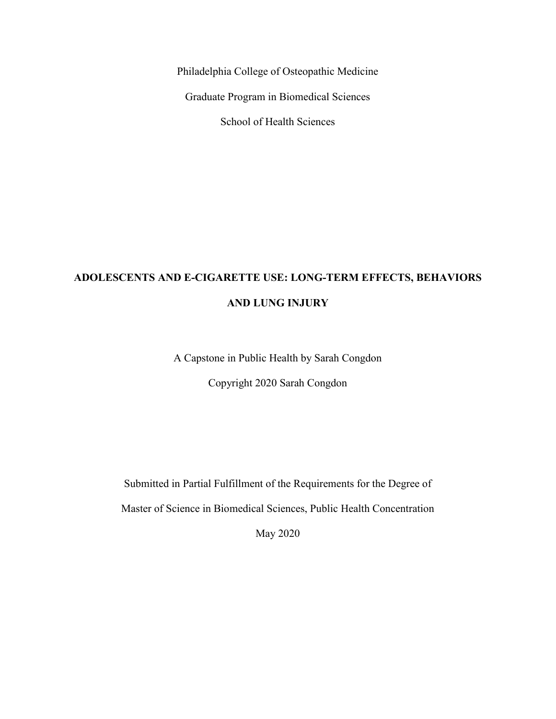Philadelphia College of Osteopathic Medicine

Graduate Program in Biomedical Sciences

School of Health Sciences

# **ADOLESCENTS AND E-CIGARETTE USE: LONG-TERM EFFECTS, BEHAVIORS AND LUNG INJURY**

A Capstone in Public Health by Sarah Congdon

Copyright 2020 Sarah Congdon

Submitted in Partial Fulfillment of the Requirements for the Degree of

Master of Science in Biomedical Sciences, Public Health Concentration

May 2020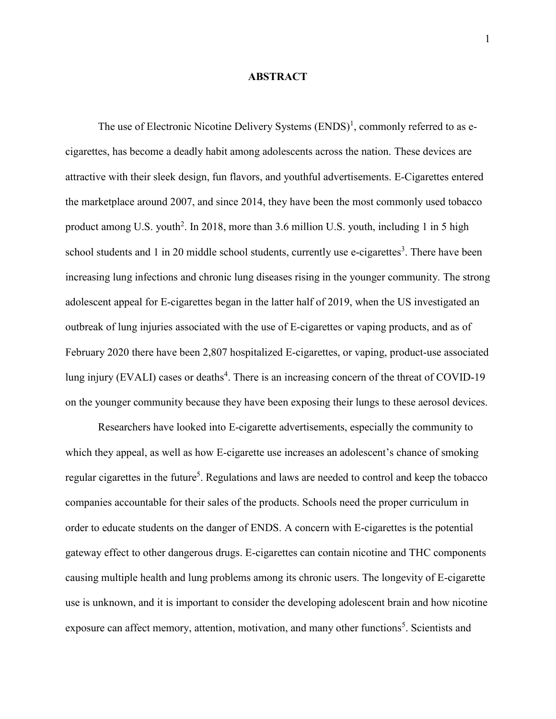#### **ABSTRACT**

The use of Electronic Nicotine Delivery Systems  $(ENDS)^1$ , commonly referred to as ecigarettes, has become a deadly habit among adolescents across the nation. These devices are attractive with their sleek design, fun flavors, and youthful advertisements. E-Cigarettes entered the marketplace around 2007, and since 2014, they have been the most commonly used tobacco product among U.S. youth<sup>2</sup>. In 2018, more than 3.6 million U.S. youth, including 1 in 5 high school students and 1 in 20 middle school students, currently use e-cigarettes<sup>3</sup>. There have been increasing lung infections and chronic lung diseases rising in the younger community. The strong adolescent appeal for E-cigarettes began in the latter half of 2019, when the US investigated an outbreak of lung injuries associated with the use of E-cigarettes or vaping products, and as of February 2020 there have been 2,807 hospitalized E-cigarettes, or vaping, product-use associated lung injury (EVALI) cases or deaths<sup>4</sup>. There is an increasing concern of the threat of COVID-19 on the younger community because they have been exposing their lungs to these aerosol devices.

Researchers have looked into E-cigarette advertisements, especially the community to which they appeal, as well as how E-cigarette use increases an adolescent's chance of smoking regular cigarettes in the future<sup>5</sup>. Regulations and laws are needed to control and keep the tobacco companies accountable for their sales of the products. Schools need the proper curriculum in order to educate students on the danger of ENDS. A concern with E-cigarettes is the potential gateway effect to other dangerous drugs. E-cigarettes can contain nicotine and THC components causing multiple health and lung problems among its chronic users. The longevity of E-cigarette use is unknown, and it is important to consider the developing adolescent brain and how nicotine exposure can affect memory, attention, motivation, and many other functions<sup>5</sup>. Scientists and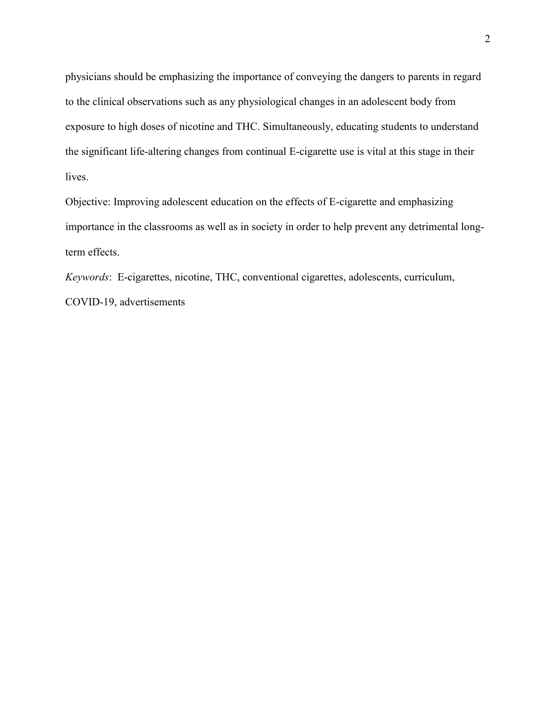physicians should be emphasizing the importance of conveying the dangers to parents in regard to the clinical observations such as any physiological changes in an adolescent body from exposure to high doses of nicotine and THC. Simultaneously, educating students to understand the significant life-altering changes from continual E-cigarette use is vital at this stage in their lives.

Objective: Improving adolescent education on the effects of E-cigarette and emphasizing importance in the classrooms as well as in society in order to help prevent any detrimental longterm effects.

*Keywords*: E-cigarettes, nicotine, THC, conventional cigarettes, adolescents, curriculum, COVID-19, advertisements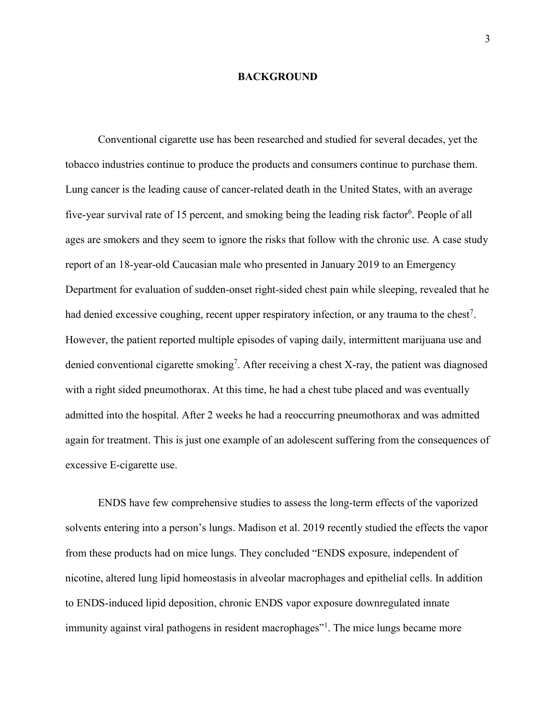### **BACKGROUND**

Conventional cigarette use has been researched and studied for several decades, yet the tobacco industries continue to produce the products and consumers continue to purchase them. Lung cancer is the leading cause of cancer-related death in the United States, with an average five-year survival rate of 15 percent, and smoking being the leading risk factor<sup>6</sup>. People of all ages are smokers and they seem to ignore the risks that follow with the chronic use. A case study report of an 18-year-old Caucasian male who presented in January 2019 to an Emergency Department for evaluation of sudden-onset right-sided chest pain while sleeping, revealed that he had denied excessive coughing, recent upper respiratory infection, or any trauma to the chest<sup>7</sup>. However, the patient reported multiple episodes of vaping daily, intermittent marijuana use and denied conventional cigarette smoking<sup>7</sup>. After receiving a chest X-ray, the patient was diagnosed with a right sided pneumothorax. At this time, he had a chest tube placed and was eventually admitted into the hospital. After 2 weeks he had a reoccurring pneumothorax and was admitted again for treatment. This is just one example of an adolescent suffering from the consequences of excessive E-cigarette use.

ENDS have few comprehensive studies to assess the long-term effects of the vaporized solvents entering into a person's lungs. Madison et al. 2019 recently studied the effects the vapor from these products had on mice lungs. They concluded "ENDS exposure, independent of nicotine, altered lung lipid homeostasis in alveolar macrophages and epithelial cells. In addition to ENDS-induced lipid deposition, chronic ENDS vapor exposure downregulated innate immunity against viral pathogens in resident macrophages"<sup>1</sup>. The mice lungs became more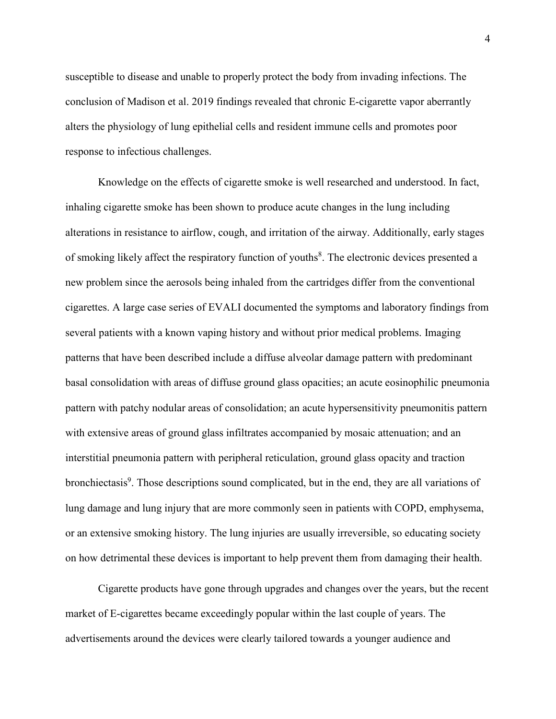susceptible to disease and unable to properly protect the body from invading infections. The conclusion of Madison et al. 2019 findings revealed that chronic E-cigarette vapor aberrantly alters the physiology of lung epithelial cells and resident immune cells and promotes poor response to infectious challenges.

Knowledge on the effects of cigarette smoke is well researched and understood. In fact, inhaling cigarette smoke has been shown to produce acute changes in the lung including alterations in resistance to airflow, cough, and irritation of the airway. Additionally, early stages of smoking likely affect the respiratory function of youths<sup>8</sup>. The electronic devices presented a new problem since the aerosols being inhaled from the cartridges differ from the conventional cigarettes. A large case series of EVALI documented the symptoms and laboratory findings from several patients with a known vaping history and without prior medical problems. Imaging patterns that have been described include a diffuse alveolar damage pattern with predominant basal consolidation with areas of diffuse ground glass opacities; an acute eosinophilic pneumonia pattern with patchy nodular areas of consolidation; an acute hypersensitivity pneumonitis pattern with extensive areas of ground glass infiltrates accompanied by mosaic attenuation; and an interstitial pneumonia pattern with peripheral reticulation, ground glass opacity and traction bronchiectasis<sup>9</sup>. Those descriptions sound complicated, but in the end, they are all variations of lung damage and lung injury that are more commonly seen in patients with COPD, emphysema, or an extensive smoking history. The lung injuries are usually irreversible, so educating society on how detrimental these devices is important to help prevent them from damaging their health.

Cigarette products have gone through upgrades and changes over the years, but the recent market of E-cigarettes became exceedingly popular within the last couple of years. The advertisements around the devices were clearly tailored towards a younger audience and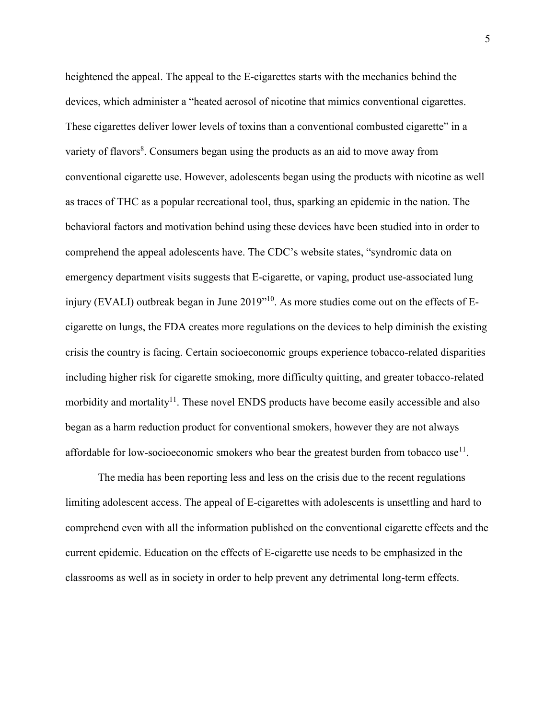heightened the appeal. The appeal to the E-cigarettes starts with the mechanics behind the devices, which administer a "heated aerosol of nicotine that mimics conventional cigarettes. These cigarettes deliver lower levels of toxins than a conventional combusted cigarette" in a variety of flavors<sup>8</sup>. Consumers began using the products as an aid to move away from conventional cigarette use. However, adolescents began using the products with nicotine as well as traces of THC as a popular recreational tool, thus, sparking an epidemic in the nation. The behavioral factors and motivation behind using these devices have been studied into in order to comprehend the appeal adolescents have. The CDC's website states, "syndromic data on emergency department visits suggests that E-cigarette, or vaping, product use-associated lung injury (EVALI) outbreak began in June 2019"<sup>10</sup>. As more studies come out on the effects of Ecigarette on lungs, the FDA creates more regulations on the devices to help diminish the existing crisis the country is facing. Certain socioeconomic groups experience tobacco-related disparities including higher risk for cigarette smoking, more difficulty quitting, and greater tobacco-related morbidity and mortality<sup>11</sup>. These novel ENDS products have become easily accessible and also began as a harm reduction product for conventional smokers, however they are not always affordable for low-socioeconomic smokers who bear the greatest burden from tobacco use<sup>11</sup>.

The media has been reporting less and less on the crisis due to the recent regulations limiting adolescent access. The appeal of E-cigarettes with adolescents is unsettling and hard to comprehend even with all the information published on the conventional cigarette effects and the current epidemic. Education on the effects of E-cigarette use needs to be emphasized in the classrooms as well as in society in order to help prevent any detrimental long-term effects.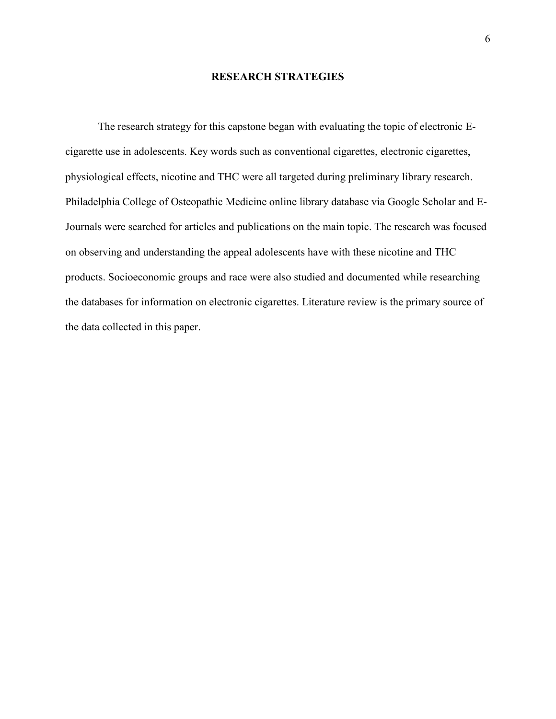# **RESEARCH STRATEGIES**

The research strategy for this capstone began with evaluating the topic of electronic Ecigarette use in adolescents. Key words such as conventional cigarettes, electronic cigarettes, physiological effects, nicotine and THC were all targeted during preliminary library research. Philadelphia College of Osteopathic Medicine online library database via Google Scholar and E-Journals were searched for articles and publications on the main topic. The research was focused on observing and understanding the appeal adolescents have with these nicotine and THC products. Socioeconomic groups and race were also studied and documented while researching the databases for information on electronic cigarettes. Literature review is the primary source of the data collected in this paper.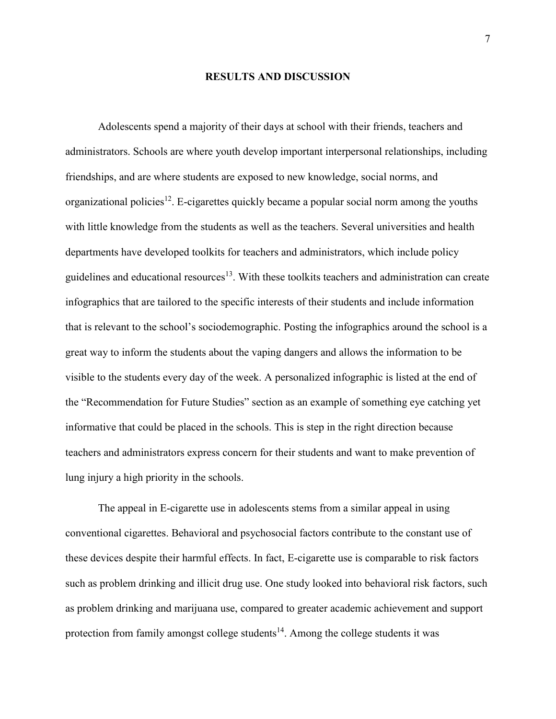## **RESULTS AND DISCUSSION**

Adolescents spend a majority of their days at school with their friends, teachers and administrators. Schools are where youth develop important interpersonal relationships, including friendships, and are where students are exposed to new knowledge, social norms, and organizational policies<sup>12</sup>. E-cigarettes quickly became a popular social norm among the youths with little knowledge from the students as well as the teachers. Several universities and health departments have developed toolkits for teachers and administrators, which include policy guidelines and educational resources<sup>13</sup>. With these toolkits teachers and administration can create infographics that are tailored to the specific interests of their students and include information that is relevant to the school's sociodemographic. Posting the infographics around the school is a great way to inform the students about the vaping dangers and allows the information to be visible to the students every day of the week. A personalized infographic is listed at the end of the "Recommendation for Future Studies" section as an example of something eye catching yet informative that could be placed in the schools. This is step in the right direction because teachers and administrators express concern for their students and want to make prevention of lung injury a high priority in the schools.

The appeal in E-cigarette use in adolescents stems from a similar appeal in using conventional cigarettes. Behavioral and psychosocial factors contribute to the constant use of these devices despite their harmful effects. In fact, E-cigarette use is comparable to risk factors such as problem drinking and illicit drug use. One study looked into behavioral risk factors, such as problem drinking and marijuana use, compared to greater academic achievement and support protection from family amongst college students<sup>14</sup>. Among the college students it was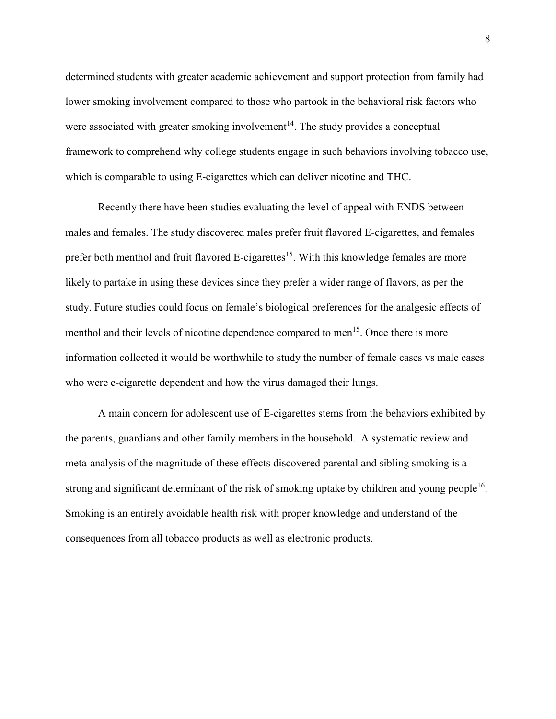determined students with greater academic achievement and support protection from family had lower smoking involvement compared to those who partook in the behavioral risk factors who were associated with greater smoking involvement $14$ . The study provides a conceptual framework to comprehend why college students engage in such behaviors involving tobacco use, which is comparable to using E-cigarettes which can deliver nicotine and THC.

Recently there have been studies evaluating the level of appeal with ENDS between males and females. The study discovered males prefer fruit flavored E-cigarettes, and females prefer both menthol and fruit flavored E-cigarettes<sup>15</sup>. With this knowledge females are more likely to partake in using these devices since they prefer a wider range of flavors, as per the study. Future studies could focus on female's biological preferences for the analgesic effects of menthol and their levels of nicotine dependence compared to men<sup>15</sup>. Once there is more information collected it would be worthwhile to study the number of female cases vs male cases who were e-cigarette dependent and how the virus damaged their lungs.

A main concern for adolescent use of E-cigarettes stems from the behaviors exhibited by the parents, guardians and other family members in the household. A systematic review and meta-analysis of the magnitude of these effects discovered parental and sibling smoking is a strong and significant determinant of the risk of smoking uptake by children and young people<sup>16</sup>. Smoking is an entirely avoidable health risk with proper knowledge and understand of the consequences from all tobacco products as well as electronic products.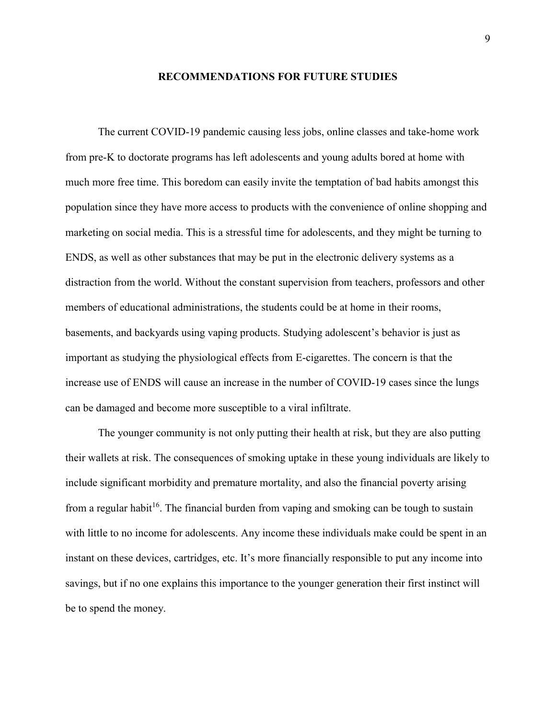#### **RECOMMENDATIONS FOR FUTURE STUDIES**

The current COVID-19 pandemic causing less jobs, online classes and take-home work from pre-K to doctorate programs has left adolescents and young adults bored at home with much more free time. This boredom can easily invite the temptation of bad habits amongst this population since they have more access to products with the convenience of online shopping and marketing on social media. This is a stressful time for adolescents, and they might be turning to ENDS, as well as other substances that may be put in the electronic delivery systems as a distraction from the world. Without the constant supervision from teachers, professors and other members of educational administrations, the students could be at home in their rooms, basements, and backyards using vaping products. Studying adolescent's behavior is just as important as studying the physiological effects from E-cigarettes. The concern is that the increase use of ENDS will cause an increase in the number of COVID-19 cases since the lungs can be damaged and become more susceptible to a viral infiltrate.

The younger community is not only putting their health at risk, but they are also putting their wallets at risk. The consequences of smoking uptake in these young individuals are likely to include significant morbidity and premature mortality, and also the financial poverty arising from a regular habit<sup>16</sup>. The financial burden from vaping and smoking can be tough to sustain with little to no income for adolescents. Any income these individuals make could be spent in an instant on these devices, cartridges, etc. It's more financially responsible to put any income into savings, but if no one explains this importance to the younger generation their first instinct will be to spend the money.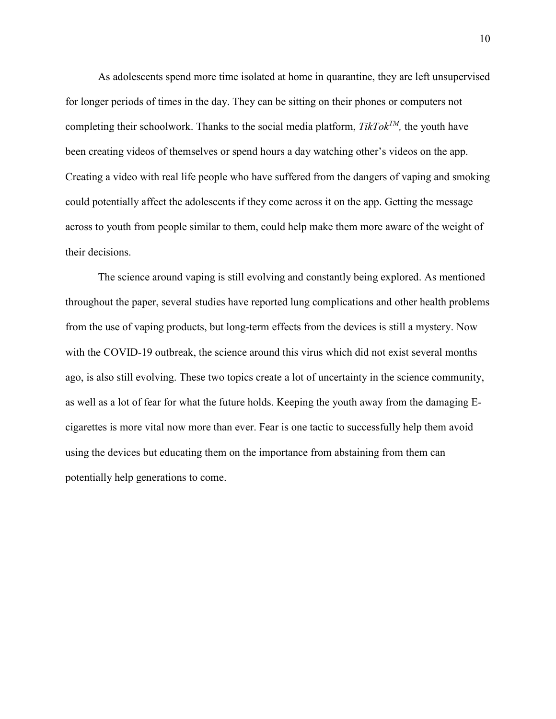As adolescents spend more time isolated at home in quarantine, they are left unsupervised for longer periods of times in the day. They can be sitting on their phones or computers not completing their schoolwork. Thanks to the social media platform, *TikTokTM,* the youth have been creating videos of themselves or spend hours a day watching other's videos on the app. Creating a video with real life people who have suffered from the dangers of vaping and smoking could potentially affect the adolescents if they come across it on the app. Getting the message across to youth from people similar to them, could help make them more aware of the weight of their decisions.

The science around vaping is still evolving and constantly being explored. As mentioned throughout the paper, several studies have reported lung complications and other health problems from the use of vaping products, but long-term effects from the devices is still a mystery. Now with the COVID-19 outbreak, the science around this virus which did not exist several months ago, is also still evolving. These two topics create a lot of uncertainty in the science community, as well as a lot of fear for what the future holds. Keeping the youth away from the damaging Ecigarettes is more vital now more than ever. Fear is one tactic to successfully help them avoid using the devices but educating them on the importance from abstaining from them can potentially help generations to come.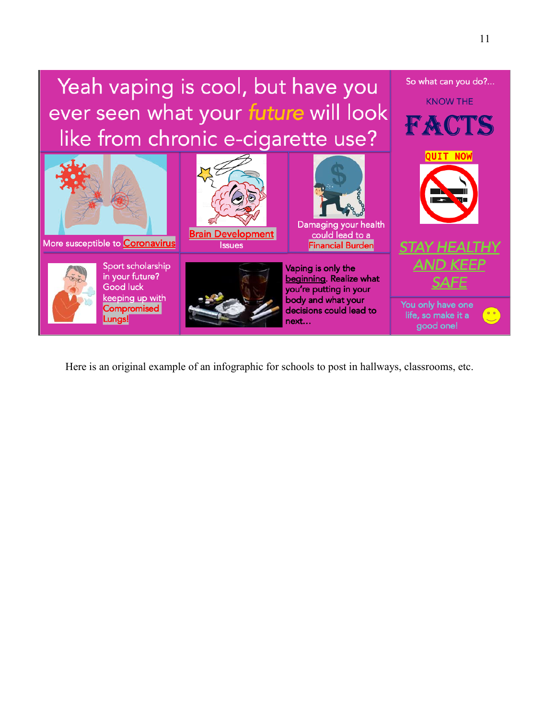

Here is an original example of an infographic for schools to post in hallways, classrooms, etc.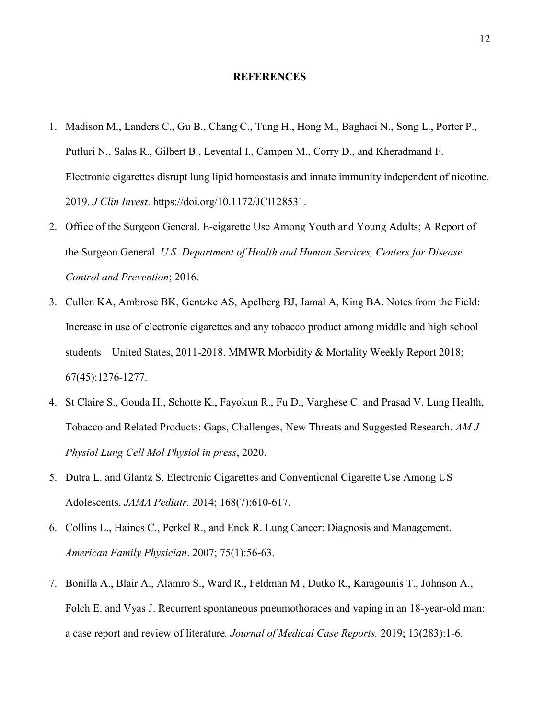#### **REFERENCES**

- 1. Madison M., Landers C., Gu B., Chang C., Tung H., Hong M., Baghaei N., Song L., Porter P., Putluri N., Salas R., Gilbert B., Levental I., Campen M., Corry D., and Kheradmand F. Electronic cigarettes disrupt lung lipid homeostasis and innate immunity independent of nicotine. 2019. *J Clin Invest*. [https://doi.org/10.1172/JCI128531.](https://doi.org/10.1172/JCI128531)
- 2. Office of the Surgeon General. E-cigarette Use Among Youth and Young Adults; A Report of the Surgeon General. *U.S. Department of Health and Human Services, Centers for Disease Control and Prevention*; 2016.
- 3. Cullen KA, Ambrose BK, Gentzke AS, Apelberg BJ, Jamal A, King BA. Notes from the Field: Increase in use of electronic cigarettes and any tobacco product among middle and high school students – United States, 2011-2018. MMWR Morbidity & Mortality Weekly Report 2018; 67(45):1276-1277.
- 4. St Claire S., Gouda H., Schotte K., Fayokun R., Fu D., Varghese C. and Prasad V. Lung Health, Tobacco and Related Products: Gaps, Challenges, New Threats and Suggested Research. *AM J Physiol Lung Cell Mol Physiol in press*, 2020.
- 5. Dutra L. and Glantz S. Electronic Cigarettes and Conventional Cigarette Use Among US Adolescents. *JAMA Pediatr.* 2014; 168(7):610-617.
- 6. Collins L., Haines C., Perkel R., and Enck R. Lung Cancer: Diagnosis and Management. *American Family Physician*. 2007; 75(1):56-63.
- 7. Bonilla A., Blair A., Alamro S., Ward R., Feldman M., Dutko R., Karagounis T., Johnson A., Folch E. and Vyas J. Recurrent spontaneous pneumothoraces and vaping in an 18-year-old man: a case report and review of literature*. Journal of Medical Case Reports.* 2019; 13(283):1-6.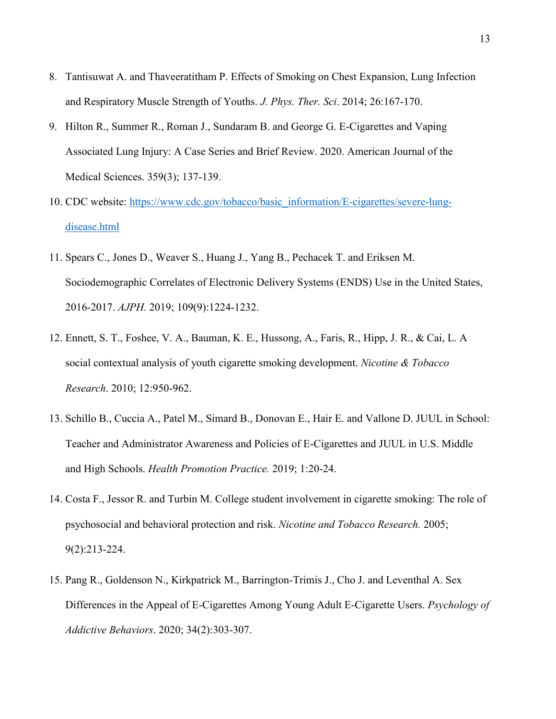- 8. Tantisuwat A. and Thaveeratitham P. Effects of Smoking on Chest Expansion, Lung Infection and Respiratory Muscle Strength of Youths. *J. Phys. Ther. Sci*. 2014; 26:167-170.
- 9. Hilton R., Summer R., Roman J., Sundaram B. and George G. E-Cigarettes and Vaping Associated Lung Injury: A Case Series and Brief Review. 2020. American Journal of the Medical Sciences. 359(3); 137-139.
- 10. CDC website: [https://www.cdc.gov/tobacco/basic\\_information/E-cigarettes/severe-lung](https://www.cdc.gov/tobacco/basic_information/E-cigarettes/severe-lung-disease.html)[disease.html](https://www.cdc.gov/tobacco/basic_information/E-cigarettes/severe-lung-disease.html)
- 11. Spears C., Jones D., Weaver S., Huang J., Yang B., Pechacek T. and Eriksen M. Sociodemographic Correlates of Electronic Delivery Systems (ENDS) Use in the United States, 2016-2017. *AJPH.* 2019; 109(9):1224-1232.
- 12. Ennett, S. T., Foshee, V. A., Bauman, K. E., Hussong, A., Faris, R., Hipp, J. R., & Cai, L. A social contextual analysis of youth cigarette smoking development. *Nicotine & Tobacco Research*. 2010; 12:950-962.
- 13. Schillo B., Cuccia A., Patel M., Simard B., Donovan E., Hair E. and Vallone D. JUUL in School: Teacher and Administrator Awareness and Policies of E-Cigarettes and JUUL in U.S. Middle and High Schools. *Health Promotion Practice.* 2019; 1:20-24.
- 14. Costa F., Jessor R. and Turbin M. College student involvement in cigarette smoking: The role of psychosocial and behavioral protection and risk. *Nicotine and Tobacco Research.* 2005; 9(2):213-224.
- 15. Pang R., Goldenson N., Kirkpatrick M., Barrington-Trimis J., Cho J. and Leventhal A. Sex Differences in the Appeal of E-Cigarettes Among Young Adult E-Cigarette Users. *Psychology of Addictive Behaviors*. 2020; 34(2):303-307.